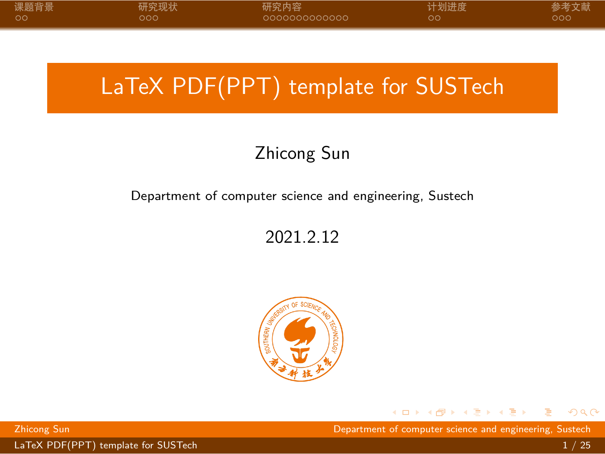# <span id="page-0-0"></span>LaTeX PDF(PPT) template for SUSTech

### Zhicong Sun

### Department of computer science and engineering, Sustech

### 2021.2.12



 $\Box \rightarrow \neg \left( \frac{\partial}{\partial \theta} \right) \rightarrow \neg \left( \frac{\partial}{\partial \theta} \right) \rightarrow \neg \left( \frac{\partial}{\partial \theta} \right)$ Zhicong Sun Department of computer science and engineering, Sustech

[LaTeX PDF\(PPT\) template for SUSTech](#page-28-0) 1 / 25

 $2Q$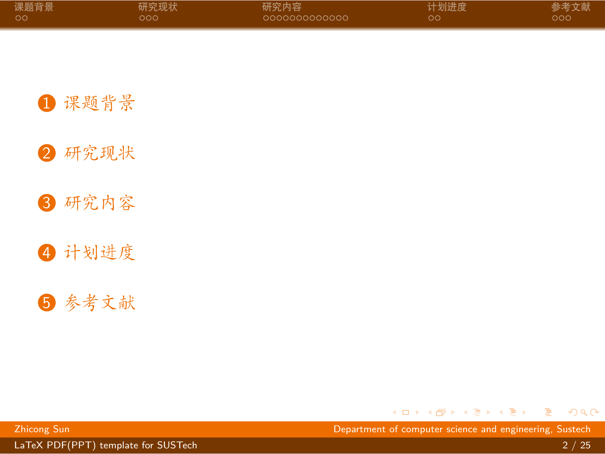<span id="page-1-0"></span>

| 课题背景 | 研究现状 | 研究内容          | 计划进度 | 参考文献 |
|------|------|---------------|------|------|
| - ററ | റററ  | 0000000000000 | oс   | ാറെ  |

1 [课题背景](#page-2-0)



3 [研究内容](#page-10-0)

4 [计划进度](#page-24-0)

5 [参考文献](#page-26-0)

. [.](#page-0-0) . [.](#page-2-0) . [.](#page-0-0) . [.](#page-1-0) . [.](#page-1-0) . [.](#page-2-0) . [.](#page-0-0) . [.](#page-0-0) . [.](#page-1-0) . [.](#page-2-0) . . . [.](#page-0-0) . [.](#page-0-0) . [.](#page-1-0) . [.](#page-0-0) . [.](#page-28-0)  $2Q$ 

[LaTeX PDF\(PPT\) template for SUSTech](#page-0-0) 2 / 25

Zhicong Sun Department of computer science and engineering, Sustech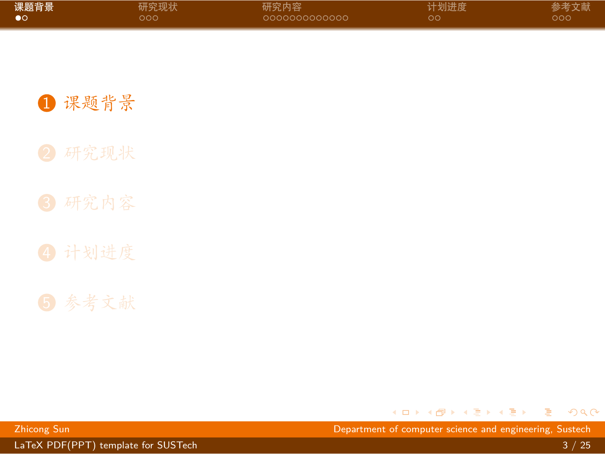<span id="page-2-0"></span>

| 课题背景 | 研究现状 | 研究内容          | 计划进度 | 参考文献 |
|------|------|---------------|------|------|
| ം    | ೦೦೦  | 0000000000000 | ററ   | റററ  |

1 [课题背景](#page-2-0)

. [.](#page-1-0) . [.](#page-3-0) . [.](#page-1-0) . [.](#page-2-0) . [.](#page-2-0) . [.](#page-3-0) . [.](#page-1-0) . [.](#page-2-0) . [.](#page-6-0) . [.](#page-7-0) . . . [.](#page-1-0) . [.](#page-2-0) . [.](#page-6-0) . [.](#page-0-0) . [.](#page-28-0)  $2Q$ 

[LaTeX PDF\(PPT\) template for SUSTech](#page-0-0) 3 / 25  $\frac{1}{3}$  / 25

Zhicong Sun Department of computer science and engineering, Sustech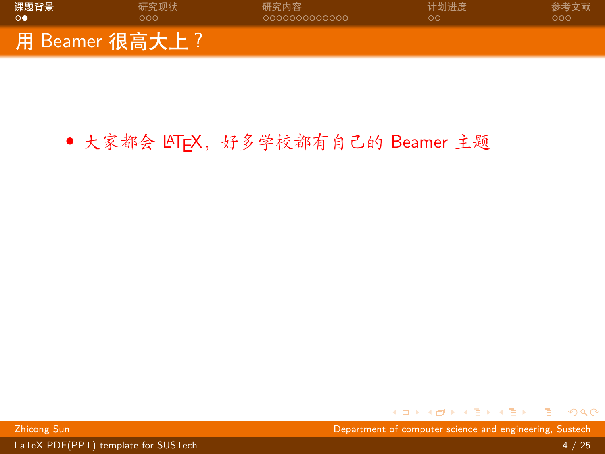<span id="page-3-0"></span>

| 课题背景            | 研究现状             | 研究内容          | 计划进度 | 参考文献 |
|-----------------|------------------|---------------|------|------|
| $\circ \bullet$ | റററ              | COQOQQQQQQQQQ | ററ   | ລດດ  |
|                 | 【用 Beamer 很高大上?】 |               |      |      |

### • 大家都会 LATEX, 好多学校都有自己的 Beamer 主题

. [.](#page-2-0) . [.](#page-4-0) . [.](#page-2-0) . [.](#page-3-0) . [.](#page-6-0) . [.](#page-7-0) . [.](#page-1-0) . [.](#page-2-0) . [.](#page-6-0) . [.](#page-7-0) . . . [.](#page-1-0) . [.](#page-2-0) . [.](#page-6-0) . [.](#page-0-0)  $\equiv$  990

Zhicong Sun Department of computer science and engineering, Sustech

[LaTeX PDF\(PPT\) template for SUSTech](#page-0-0) 4 / 25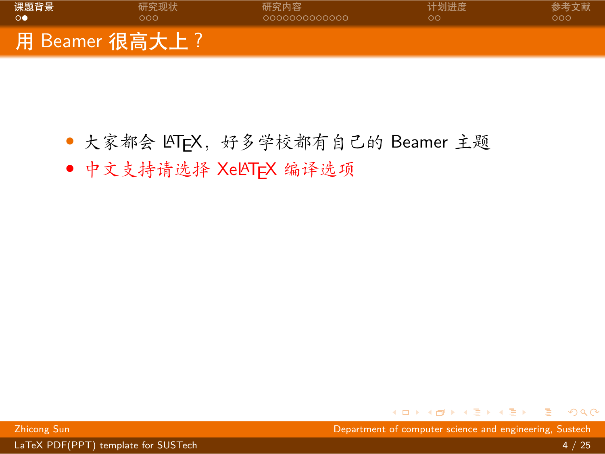<span id="page-4-0"></span>

- *•* 大家都会 LATEX,好多学校都有自己的 Beamer 主题
- *•* 中文支持请选择 XeLATEX 编译选项

. [.](#page-3-0) . [.](#page-5-0) . [.](#page-2-0) . [.](#page-3-0) . [.](#page-6-0) . [.](#page-7-0) . [.](#page-1-0) . [.](#page-2-0) . [.](#page-6-0) . [.](#page-7-0) . . . [.](#page-1-0) . [.](#page-2-0) . [.](#page-6-0) . [.](#page-0-0) Zhicong Sun Department of computer science and engineering, Sustech

[LaTeX PDF\(PPT\) template for SUSTech](#page-0-0) 4 / 25

 $\equiv$  990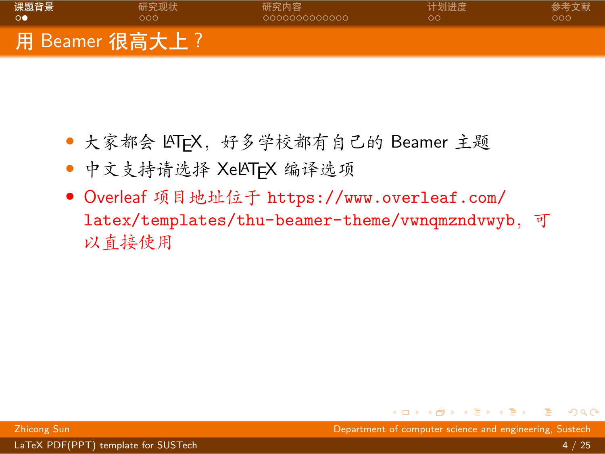<span id="page-5-0"></span>

- *•* 大家都会 LATEX,好多学校都有自己的 Beamer 主题
- *•* 中文支持请选择 XeLATEX 编译选项
- *•* Overleaf 项目地址位于 [https://www.overleaf.com/](https://www.overleaf.com/latex/templates/thu-beamer-theme/vwnqmzndvwyb) [latex/templates/thu-beamer-theme/vwnqmzndvwyb](https://www.overleaf.com/latex/templates/thu-beamer-theme/vwnqmzndvwyb),可 以直接使用

. [.](#page-4-0) . [.](#page-6-0) . [.](#page-2-0) . [.](#page-3-0) . [.](#page-6-0) . [.](#page-7-0) . [.](#page-1-0) . [.](#page-2-0) . [.](#page-6-0) . [.](#page-7-0) . . . [.](#page-1-0) . [.](#page-2-0) . [.](#page-6-0) . [.](#page-0-0) Zhicong Sun Department of computer science and engineering, Sustech

 $2Q$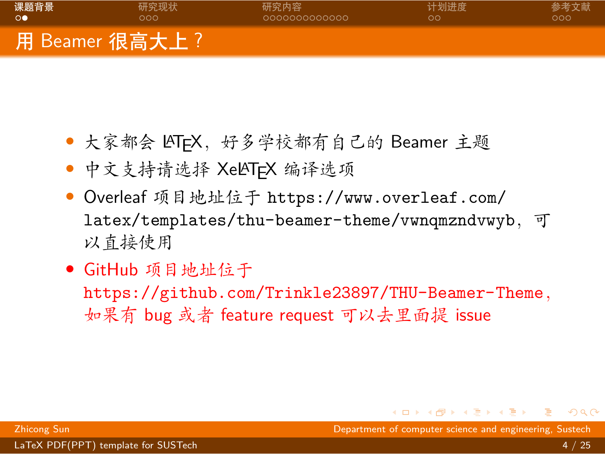<span id="page-6-0"></span>

- 大家都会 LATFX, 好多学校都有自己的 Beamer 主题
- *•* 中文支持请选择 XeLATEX 编译选项
- *•* Overleaf 项目地址位于 [https://www.overleaf.com/](https://www.overleaf.com/latex/templates/thu-beamer-theme/vwnqmzndvwyb) [latex/templates/thu-beamer-theme/vwnqmzndvwyb](https://www.overleaf.com/latex/templates/thu-beamer-theme/vwnqmzndvwyb),可 以直接使用
- *•* GitHub 项目地址位于

<https://github.com/Trinkle23897/THU-Beamer-Theme>, 如果有 bug 或者 feature request 可以去里面提 issue

 $\overline{\Omega}$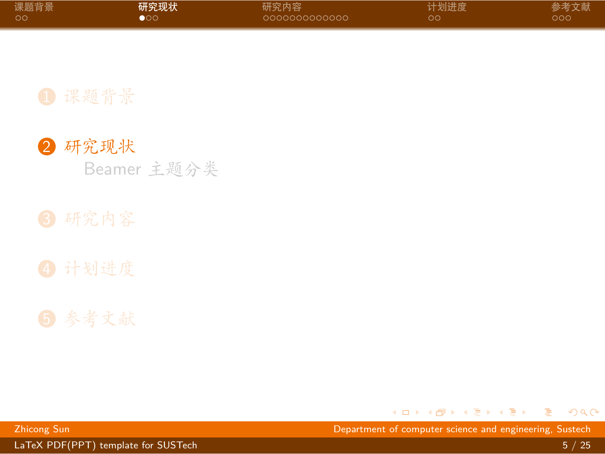<span id="page-7-0"></span>

| 课题背景 | 研究现状 | 研究内容           | 计划进度 | 参考文献 |
|------|------|----------------|------|------|
| - ററ | юo   | -0000000000000 | OС   | റററ  |



Beamer [主题分类](#page-8-0)



### 5 [参考文献](#page-26-0)

. [.](#page-6-0) . [.](#page-8-0) . [.](#page-6-0) . [.](#page-7-0) . [.](#page-7-0) . [.](#page-8-0) . [.](#page-6-0) . [.](#page-7-0) . [.](#page-7-0) . [.](#page-8-0) . . . [.](#page-6-0) . [.](#page-7-0) . [.](#page-9-0) . [.](#page-0-0) . [.](#page-28-0)  $2Q$ 

[LaTeX PDF\(PPT\) template for SUSTech](#page-0-0) 5 / 25 / 25 / 25 / 25 / 26 / 26 / 27 / 28 / 29 / 29 / 29 / 29 / 29 / 29 / 2

Zhicong Sun Department of computer science and engineering, Sustech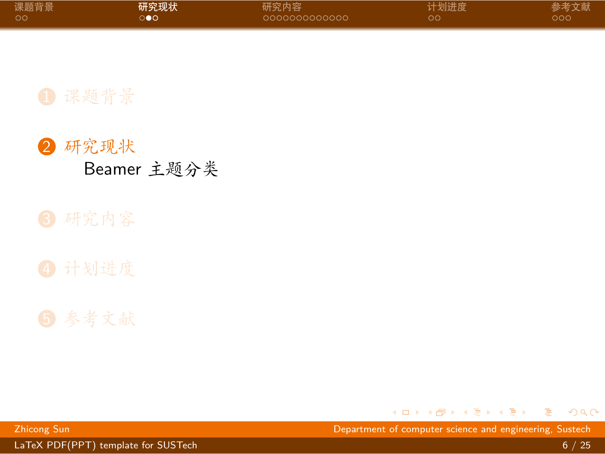<span id="page-8-0"></span>

| 课题背景 | 研究现状 | 研究内容          | 计划进度 | 参考文献 |
|------|------|---------------|------|------|
| - ററ | ി≙∩  | 0000000000000 | OO.  | ഥററ  |





### 5 [参考文献](#page-26-0)

. [.](#page-7-0) . [.](#page-9-0) . [.](#page-7-0) . [.](#page-8-0) . [.](#page-8-0) . [.](#page-9-0) . [.](#page-7-0) . [.](#page-8-0) . [.](#page-9-0) . [.](#page-10-0) . . . [.](#page-6-0) . [.](#page-7-0) . [.](#page-9-0) . [.](#page-0-0) Zhicong Sun Department of computer science and engineering, Sustech

[LaTeX PDF\(PPT\) template for SUSTech](#page-0-0) 6 / 25

 $2Q$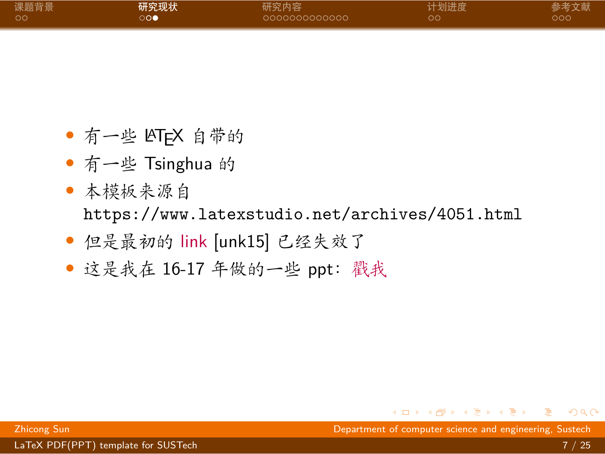<span id="page-9-0"></span>

| 课题背景 | 研究现状 | 研究内容          | 计划进度 | 参考文献 |
|------|------|---------------|------|------|
| ം ററ | ാറല  | 0000000000000 | ററ   | റററ  |

- *•* 有一些 LATEX 自带的
- *•* 有一些 Tsinghua 的
- *•* 本模板来源自 <https://www.latexstudio.net/archives/4051.html>
- *•* 但是最初的 [link](http://far.tooold.cn/post/latex/beamertsinghua) [\[unk15\]](#page-27-0) 已经失效了
- *•* 这是我在 16-17 年做的一些 ppt:[戳我](https://github.com/Trinkle23897/oi_slides)

Zhicong Sun Department of computer science and engineering, Sustech

. [.](#page-8-0) . [.](#page-10-0) . [.](#page-8-0) . [.](#page-9-0) . [.](#page-9-0) . [.](#page-10-0) . [.](#page-7-0) . [.](#page-8-0) . [.](#page-9-0) . [.](#page-10-0) . . . [.](#page-6-0) . [.](#page-7-0) . [.](#page-9-0) . [.](#page-0-0) . [.](#page-28-0) . . . . . . .

[LaTeX PDF\(PPT\) template for SUSTech](#page-0-0) 7 / 25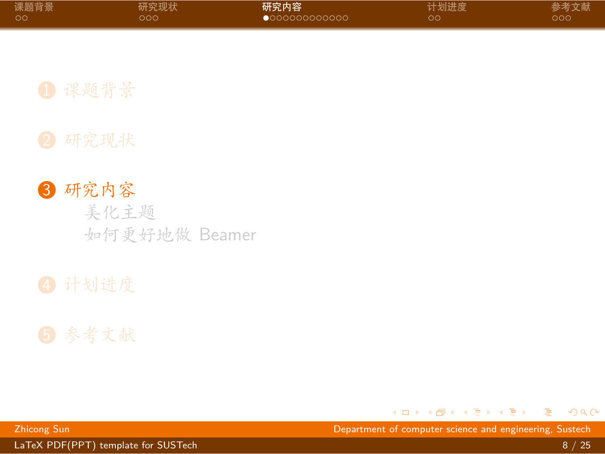<span id="page-10-0"></span>

| 课题背景 | 研究现状 | 研究内容                   | 计划进度 | 参考文献 |
|------|------|------------------------|------|------|
| - ററ | റററ  | $\bullet$ 000000000000 | ററ   | റററ  |

3 [研究内容](#page-10-0) [美化主题](#page-11-0) [如何更好地做](#page-13-0) Beamer



. [.](#page-9-0) . [.](#page-11-0) . [.](#page-9-0) . [.](#page-10-0) . [.](#page-10-0) . [.](#page-11-0) . [.](#page-9-0) . [.](#page-10-0) . [.](#page-10-0) . [.](#page-11-0) . . . [.](#page-9-0) . [.](#page-10-0) . [.](#page-23-0) . [.](#page-0-0) Zhicong Sun Department of computer science and engineering, Sustech

[LaTeX PDF\(PPT\) template for SUSTech](#page-0-0) 8 / 25 and 2008 and 2008 and 2008 and 2008 and 2008 and 2008 and 2008 and 20

 $2Q$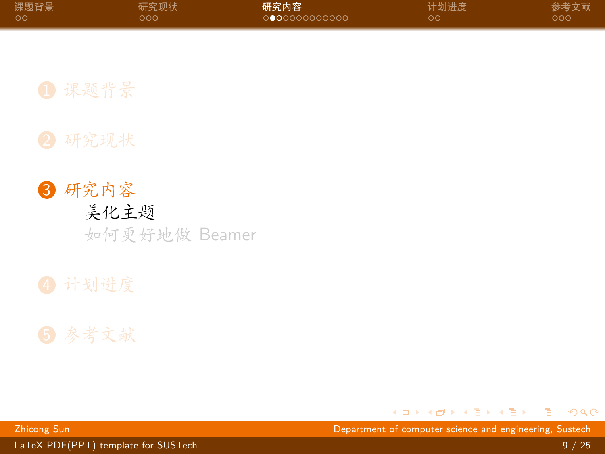<span id="page-11-0"></span>

| 课题背景 | 研究现状 | 研究内容          | 计划进度 | 参考文献 |
|------|------|---------------|------|------|
| - ററ | 000  | O●OOOOOOOOOOO | ററ   | ഥററ  |

3 [研究内容](#page-10-0) [美化主题](#page-11-0) [如何更好地做](#page-13-0) Beamer



 $\Box \rightarrow \neg \left( \frac{\partial}{\partial \theta} \right) \rightarrow \neg \left( \frac{\partial}{\partial \theta} \right) \rightarrow \neg \left( \frac{\partial}{\partial \theta} \right)$ Zhicong Sun Department of computer science and engineering, Sustech

[LaTeX PDF\(PPT\) template for SUSTech](#page-0-0) 9 / 25

 $2Q$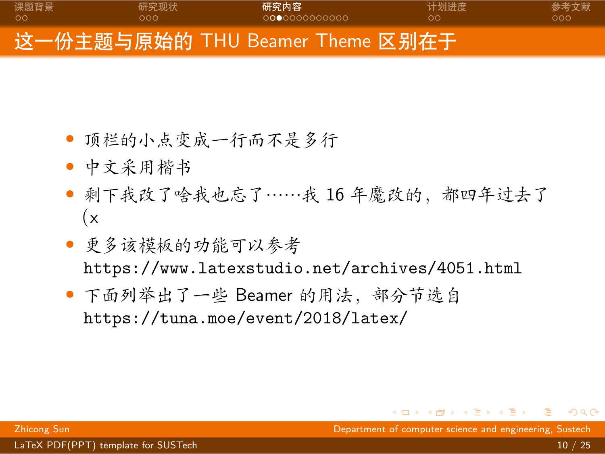<span id="page-12-0"></span>

- *•* 顶栏的小点变成一行而不是多行
- *•* 中文采用楷书
- *•* 剩下我改了啥我也忘了……我 16 年魔改的,都四年过去了  $(x)$
- *•* 更多该模板的功能可以参考 <https://www.latexstudio.net/archives/4051.html>
- *•* 下面列举出了一些 Beamer 的用法,部分节选自 <https://tuna.moe/event/2018/latex/>

. [.](#page-28-0)  $\overline{Q}$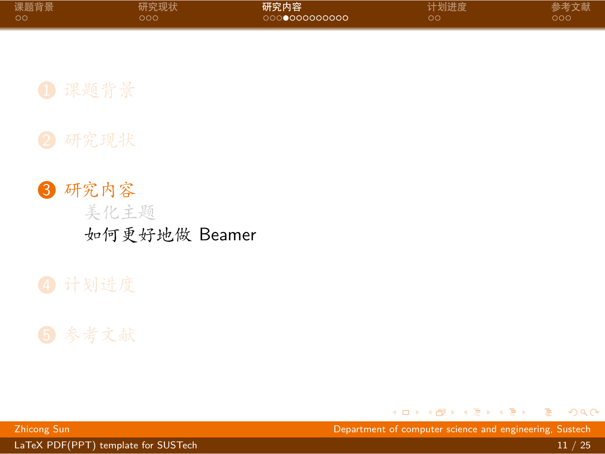<span id="page-13-0"></span>

| 课题背景 | 研究现状 | 研究内容          | 计划进度 | 参考文献 |
|------|------|---------------|------|------|
| - ററ | ೦೦೦  | 0000000000000 | oο   | റററ  |

3 [研究内容](#page-10-0) [美化主题](#page-11-0) [如何更好地做](#page-13-0) Beamer



. [.](#page-12-0) . [.](#page-14-0) . [.](#page-12-0) . [.](#page-13-0) . [.](#page-13-0) . [.](#page-14-0) . [.](#page-12-0) . [.](#page-13-0) . [.](#page-23-0) . [.](#page-24-0) . . . [.](#page-9-0) . [.](#page-10-0) . [.](#page-23-0) Zhicong Sun Department of computer science and engineering, Sustech

[LaTeX PDF\(PPT\) template for SUSTech](#page-0-0) 11 / 25

 $2Q$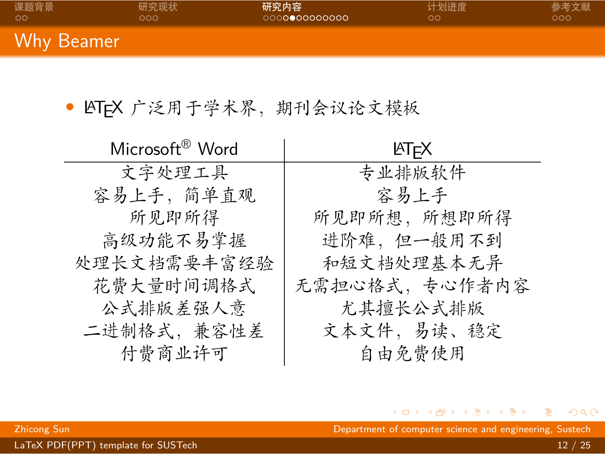<span id="page-14-0"></span>

| 课题背景       | 研究现状 | 研究内容          | 计划进度 | 参考文献 |
|------------|------|---------------|------|------|
| ററ         | റററ  | 0000000000000 | ററ   | റററ  |
| Why Beamer |      |               |      |      |

• LATEX 广泛用于学术界, 期刊会议论文模板

| Microsoft <sup>®</sup> Word | ŀТFX          |
|-----------------------------|---------------|
| 文字处理工具                      | 专业排版软件        |
| 容易上手, 简单直观                  | 容易上手          |
| 所见即所得                       | 所见即所想, 所想即所得  |
| 高级功能不易掌握                    | 进阶难,但一般用不到    |
| 处理长文档需要丰富经验                 | 和短文档处理基本无异    |
| 花费大量时间调格式                   | 无需担心格式,专心作者内容 |
| 公式排版差强人意                    | 尤其擅长公式排版      |
| 二进制格式,兼容性差                  | 文本文件,易读、稳定    |
| 付费商业许可                      | 自由免费使用        |

. [.](#page-13-0) . [.](#page-15-0) . [.](#page-13-0) . [.](#page-14-0) . [.](#page-14-0) . [.](#page-15-0) . [.](#page-12-0) . [.](#page-13-0) . [.](#page-23-0) . [.](#page-24-0) . . . [.](#page-9-0) . [.](#page-10-0) . [.](#page-23-0) . [.](#page-0-0) Zhicong Sun Department of computer science and engineering, Sustech

 $2Q$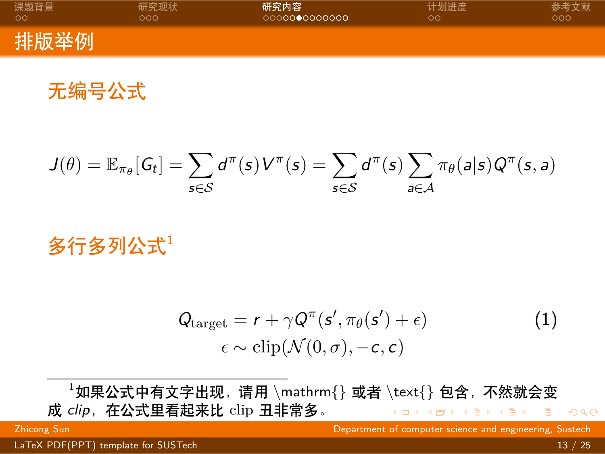<span id="page-15-0"></span>

| 课题背景 | 研究现状 | 研究内容          | 计划进度 | 参考文献 |
|------|------|---------------|------|------|
| ററ   | nna  | 0000000000000 | ററ   | 000  |
| 排版举例 |      |               |      |      |

无编号公式

$$
J(\theta) = \mathbb{E}_{\pi_{\theta}}[G_t] = \sum_{s \in \mathcal{S}} d^{\pi}(s) V^{\pi}(s) = \sum_{s \in \mathcal{S}} d^{\pi}(s) \sum_{a \in \mathcal{A}} \pi_{\theta}(a|s) Q^{\pi}(s, a)
$$

多行多列公式1

$$
Q_{\text{target}} = r + \gamma Q^{\pi}(s', \pi_{\theta}(s') + \epsilon) \n\epsilon \sim \text{clip}(\mathcal{N}(0, \sigma), -c, c)
$$
\n(1)

 $\longleftrightarrow \begin{array}{ccccc} \ast & \bullet & \ast & \bullet \end{array}$ . [.](#page-28-0)  $2Q$ <sup>1</sup>如果公式中有文字出现,请用 *\*mathrm{} 或者 *\*text{} 包含,不然就会变 成 clip, 在公式里看起来比 clip 丑非常多。

Zhicong Sun Department of computer science and engineering, Sustech

[LaTeX PDF\(PPT\) template for SUSTech](#page-0-0) 13 / 25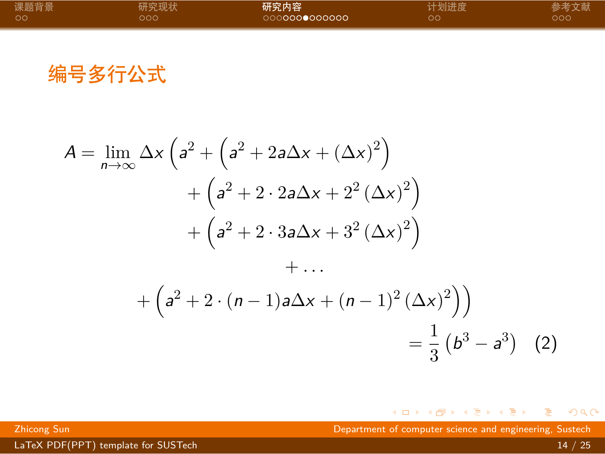<span id="page-16-0"></span>

| 课题背景 | 研究现状 | 研究内容          | 计划进度 | 参考文献 |
|------|------|---------------|------|------|
| ം റ  | റററ  | 0000000000000 | oο   | ഥറർ  |
|      |      |               |      |      |

编号多行公式

$$
A = \lim_{n \to \infty} \Delta x \left( a^2 + \left( a^2 + 2a\Delta x + (\Delta x)^2 \right) + \left( a^2 + 2 \cdot 2a\Delta x + 2^2 (\Delta x)^2 \right) + \left( a^2 + 2 \cdot 3a\Delta x + 3^2 (\Delta x)^2 \right) + \dots
$$

$$
+ \left( a^2 + 2 \cdot (n-1)a\Delta x + (n-1)^2 (\Delta x)^2 \right) = \frac{1}{3} \left( b^3 - a^3 \right) (2)
$$

. [.](#page-15-0) . [.](#page-17-0) . [.](#page-15-0) . [.](#page-16-0) . [.](#page-16-0) . [.](#page-17-0) . [.](#page-12-0) . [.](#page-13-0) . [.](#page-23-0) . [.](#page-24-0) . . . [.](#page-9-0) . [.](#page-10-0) . [.](#page-23-0) . [.](#page-0-0) Zhicong Sun Department of computer science and engineering, Sustech

[LaTeX PDF\(PPT\) template for SUSTech](#page-0-0) 14 / 25

 $2Q$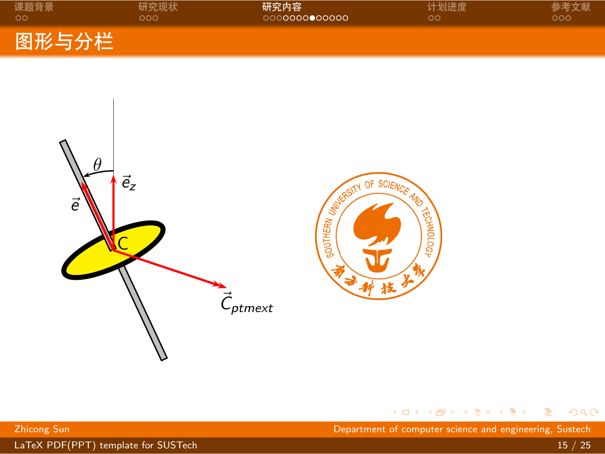<span id="page-17-0"></span>

| 课题背景               | 研究现状 | 研究内容          | 计划进度 | 参考文献 |
|--------------------|------|---------------|------|------|
| - ററ               | റററ  | 0000000000000 | ററ   | റററ  |
| 图形与分栏 <sup> </sup> |      |               |      |      |



 $\begin{aligned} \left\langle \begin{array}{c} \square \end{array}\right\rangle \rightarrow \left\langle \begin{array}{c} \overline{\partial} \end{array}\right\rangle + \left\langle \begin{array}{c} \overline{\psi} \end{array}\right\rangle + \left\langle \begin{array}{c} \overline{\psi} \end{array}\right\rangle + \left\langle \begin{array}{c} \overline{\psi} \end{array}\right\rangle \end{aligned}$ . [.](#page-28-0)  $2Q$ 

Zhicong Sun Department of computer science and engineering, Sustech

LaTeX [PDF\(PPT\)](#page-0-0) template for SUSTech 15 / 25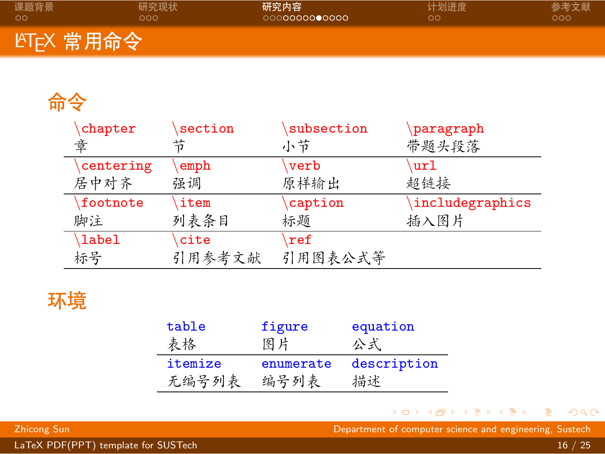<span id="page-18-0"></span>

| 课题背景                    | 研究现状 | 研究内容          | 计划进度 | 参考文献 |
|-------------------------|------|---------------|------|------|
| ററ                      | റററ  | 0000000000000 | ററ   | റററ  |
| LAT <sub>E</sub> X 常用命令 |      |               |      |      |

## 命令

| chapter      | section | subsection     | paragraph       |
|--------------|---------|----------------|-----------------|
| 章            | 节       | 小节             | 带题头段落           |
| centering    | emph    | verb           | url             |
| 居中对齐         | 强调      | 原样输出           | 超链接             |
| footnote     | item    | caption        | includegraphics |
| 脚注           | 列表条目    | 标题             | 插入图片            |
| <b>label</b> | cite    | $\mathbf{ref}$ |                 |
| 标号           | 引用参考文献  | 引用图表公式等        |                 |

## 环境

| table   | figure    | equation    |
|---------|-----------|-------------|
| 表格      | 图片        | 公式          |
| itemize | enumerate | description |
| 无编号列表   | 编号列表      | 描述          |

. . [.](#page-17-0) . [.](#page-19-0) . [.](#page-17-0) . [.](#page-18-0) . [.](#page-18-0) . [.](#page-19-0) . [.](#page-12-0) . [.](#page-13-0) . [.](#page-23-0) . [.](#page-24-0) . . . [.](#page-9-0) . [.](#page-10-0) . [.](#page-23-0) . [.](#page-0-0) . [.](#page-28-0) . . . . . . .

Zhicong Sun Department of computer science and engineering, Sustech

[LaTeX PDF\(PPT\) template for SUSTech](#page-0-0) 16 / 25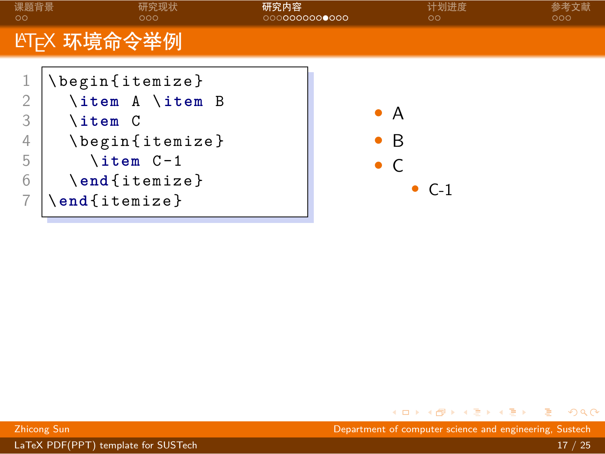<span id="page-19-0"></span>

| LYT <sub>E</sub> X 环境命令举例<br>\begin{itemize}<br>\item A \item B<br>DА<br>3<br><b>\item C</b><br>\begin{itemize}<br>$\bullet$ B<br>4 | 课题背景<br>00 | 研究现状<br>000 | 研究内容<br>0000000000000 | 计划进度<br>$\circ$ | 000 |
|-------------------------------------------------------------------------------------------------------------------------------------|------------|-------------|-----------------------|-----------------|-----|
|                                                                                                                                     |            |             |                       |                 |     |
| \item C-1<br>5<br>$\bullet$ C<br>\end{itemize}<br>6<br>$\bullet$ C-1<br>\end{itemize}                                               |            |             |                       |                 |     |

. . [.](#page-18-0) . [.](#page-20-0) . [.](#page-18-0) . [.](#page-19-0) . [.](#page-20-0) . [.](#page-21-0) . [.](#page-12-0) . [.](#page-13-0) . [.](#page-23-0) . [.](#page-24-0) . . . [.](#page-9-0) . [.](#page-10-0) . [.](#page-23-0) . [.](#page-0-0) . [.](#page-28-0) . . . . . . .

Zhicong Sun Department of computer science and engineering, Sustech

[LaTeX PDF\(PPT\) template for SUSTech](#page-0-0) 17 / 25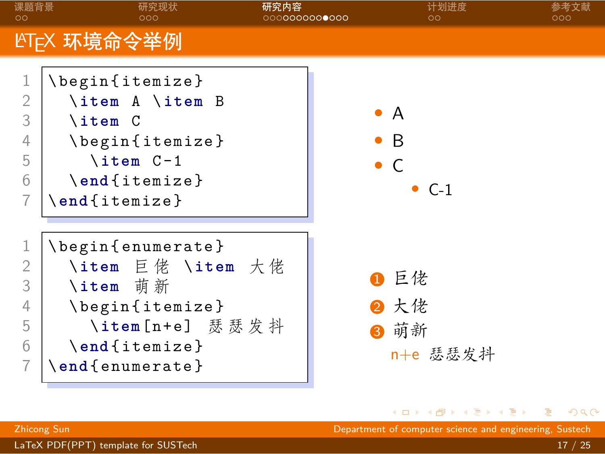<span id="page-20-0"></span>

Zhicong Sun Department of computer science and engineering, Sustech

[LaTeX PDF\(PPT\) template for SUSTech](#page-0-0) 17 / 25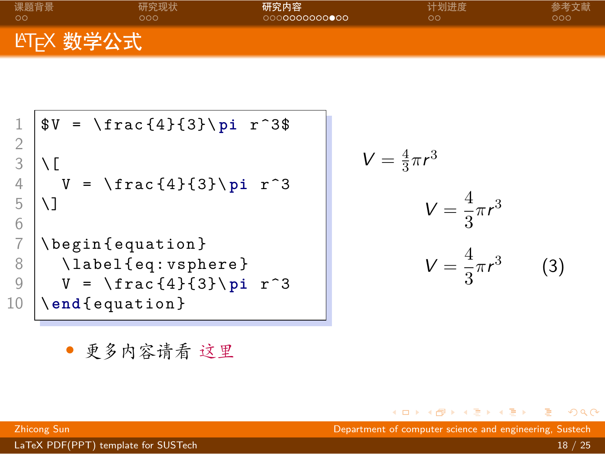<span id="page-21-0"></span>

| 课题背景                    | 研究现状 | 研究内容          | 计划进度 | 参考文献 |
|-------------------------|------|---------------|------|------|
| ററ                      | 000. | 0000000000000 | ററ   | റററ  |
| LYT <sub>F</sub> X 数学公式 |      |               |      |      |

```
$V = \frac{4}{3}\pi r^3$\frac{2}{3}\left[\begin{array}{c} 3 \\ 4 \end{array}\right] \setminus \left[\begin{array}{c} 1 \\ 2 \end{array}\right]\begin{array}{c|c}\n 4 & \text{V} = \frac{4}{3}\ \pi^3 \\
 5 & \text{V}\n\end{array}\]
 6<br>7
 7 \begin{equation}<br>8 \label{eq:vsph
            \label{eq: vsphere}
 9 V = \ frac {4}{3}\ pi r ^3
10 \ end { equation }
```
<span id="page-21-1"></span>
$$
V = \frac{4}{3}\pi r^3
$$

$$
V = \frac{4}{3}\pi r^3
$$

$$
V = \frac{4}{3}\pi r^3
$$
(3)

*•* 更多内容请看 [这里](https://zh.wikipedia.org/wiki/Help:数学公式)

. [.](#page-13-0) . [.](#page-23-0) Zhicong Sun Department of computer science and engineering, Sustech

 $\overline{\Omega}$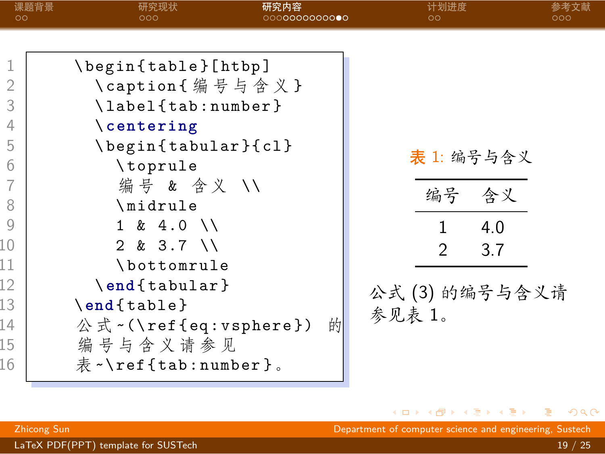<span id="page-22-0"></span>

| 00                                                                                               | 课题背景<br>研究现状<br>ooo                                                                                                                                                                                                                                                                                  | 研究内容<br>○○○○○○○○○○○●○ | 计划进度<br>ററ                         | 参考文献<br>റററ                                    |  |
|--------------------------------------------------------------------------------------------------|------------------------------------------------------------------------------------------------------------------------------------------------------------------------------------------------------------------------------------------------------------------------------------------------------|-----------------------|------------------------------------|------------------------------------------------|--|
| 1<br>$\overline{2}$<br>3<br>4<br>5<br>6<br>7<br>8<br>9<br>10<br>11<br>12<br>13<br>14<br>15<br>16 | \begin{table}[htbp]<br>\caption{编号与含义}<br>\label{tab:number}<br>$\setminus$ centering<br>\begin{tabular}{cl}<br>\toprule<br>编号 & 含义 //<br>\midrule<br>$1 \& 4.0 \&$<br>$2 & 3.7$ \\<br>\bottomrule<br>\end{tabular}<br>$\end{figure}$<br>公式 ~ (\ref{eq:vsphere})<br>编号与含义请参见<br>表 ~\ref{tab:number}。 | 的                     | 编号<br>1<br>$\mathcal{P}$<br>参见表 1。 | 表 1: 编号与含义<br>含义<br>4.0<br>3.7<br>公式(3)的编号与含义请 |  |

 $\langle \,\, \Box \,\, \rangle \,\, \langle \,\, \beta \,\, \rangle \,\, \langle \,\, \bar{\gtrless} \,\, \rangle \,\, \langle \,\, \bar{\gtrless} \,\, \rangle \,\, \langle \,\, \bar{\gtrless} \,\, \rangle$ Zhicong Sun Department of computer science and engineering, Sustech

<span id="page-22-1"></span> $2Q$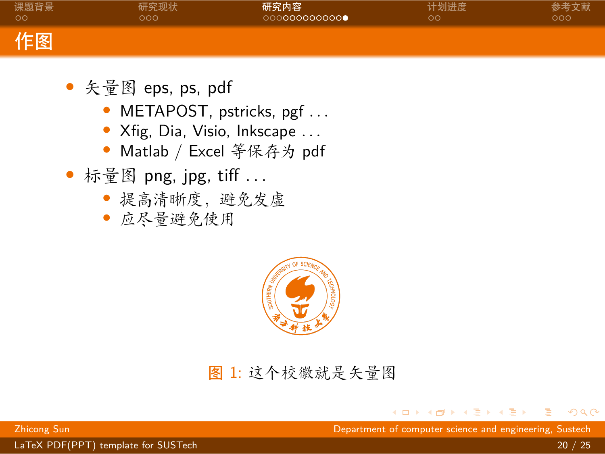<span id="page-23-0"></span>

| 课题背景 | 研究现状 | 研究内容          | 计划进度 | 参考文献 |
|------|------|---------------|------|------|
| ററ   | nnn  | 0000000000000 | ററ   | ೦೦೦  |
| 作图   |      |               |      |      |

- *•* 矢量图 eps, ps, pdf
	- *•* METAPOST, pstricks, pgf *. . .*
	- *•* Xfig, Dia, Visio, Inkscape *. . .*
	- *•* Matlab / Excel 等保存为 pdf
- *•* 标量图 png, jpg, tiff *. . .*
	- *•* 提高清晰度,避免发虚
	- *•* 应尽量避免使用



### 图 1: 这个校徽就是矢量图

Zhicong Sun Department of computer science and engineering, Sustech

[LaTeX PDF\(PPT\) template for SUSTech](#page-0-0) 20 / 25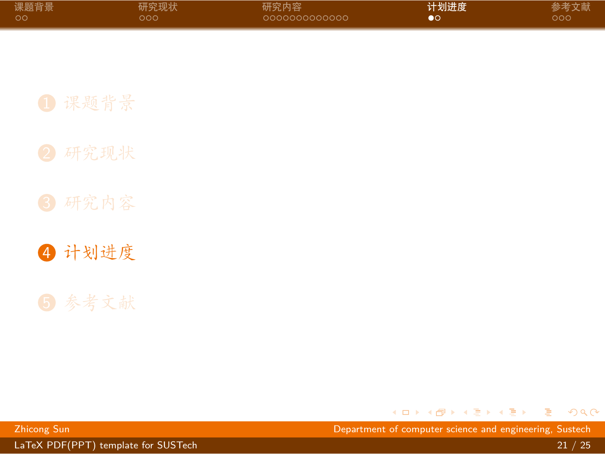<span id="page-24-0"></span>

| 课题背景 | 研究现状 | 研究内容          | 计划进度 | 参考文献 |
|------|------|---------------|------|------|
| - ററ | റററ  | 0000000000000 | DO   | ാററ  |

4 [计划进度](#page-24-0)

. [.](#page-23-0) . [.](#page-25-0) . [.](#page-23-0) . [.](#page-24-0) . [.](#page-24-0) . [.](#page-25-0) . [.](#page-23-0) . [.](#page-24-0) . [.](#page-25-0) . [.](#page-26-0) . . . [.](#page-23-0) . [.](#page-24-0) . [.](#page-25-0) . [.](#page-0-0) . [.](#page-28-0)  $2Q$ 

[LaTeX PDF\(PPT\) template for SUSTech](#page-0-0) 21 / 25

Zhicong Sun Department of computer science and engineering, Sustech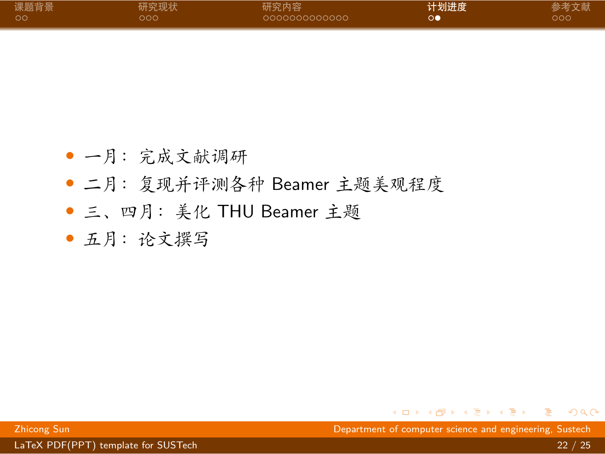<span id="page-25-0"></span>

| 课题背景 | 研究现状 | 研究内容          | 计划进度 | 参考文献 |
|------|------|---------------|------|------|
| ം ററ | റററ  | 0000000000000 | റല   | റററ  |

- *•* 一月:完成文献调研
- *•* 二月:复现并评测各种 Beamer 主题美观程度
- *•* 三、四月:美化 THU Beamer 主题
- *•* 五月:论文撰写

Zhicong Sun Department of computer science and engineering, Sustech

. [.](#page-24-0) . [.](#page-26-0) . [.](#page-24-0) . [.](#page-25-0) . [.](#page-25-0) . [.](#page-26-0) . [.](#page-23-0) . [.](#page-24-0) . [.](#page-25-0) . [.](#page-26-0) . . . [.](#page-23-0) . [.](#page-24-0) . [.](#page-25-0) . [.](#page-0-0) . [.](#page-28-0) . . . . . . .

[LaTeX PDF\(PPT\) template for SUSTech](#page-0-0) 22 / 25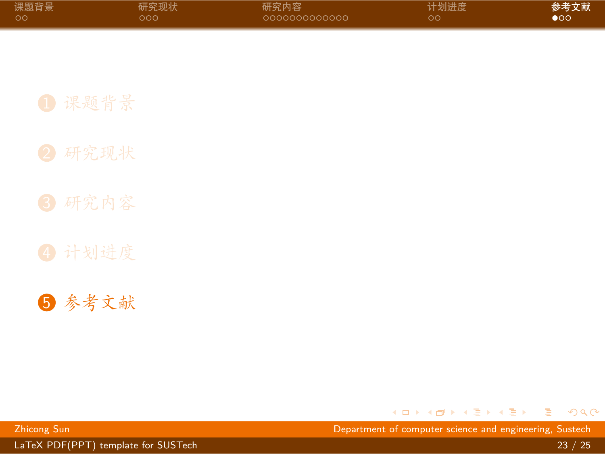<span id="page-26-0"></span>

| 课题背景 | 研究现状 | 研究内容          | 计划进度 | 参考文献 |
|------|------|---------------|------|------|
| - ററ | റററ  | 0000000000000 | ററ   | ഹ    |

5 [参考文献](#page-26-0)

. [.](#page-25-0) . [.](#page-27-1) . [.](#page-25-0) . [.](#page-26-0) . [.](#page-26-0) . [.](#page-27-1) . [.](#page-25-0) . [.](#page-26-0) . [.](#page-28-0) . [.](#page-28-0) . . . [.](#page-25-0) . [.](#page-26-0) . [.](#page-28-0) . [.](#page-0-0) . [.](#page-28-0)  $2Q$ 

[LaTeX PDF\(PPT\) template for SUSTech](#page-0-0) 23 / 25

Zhicong Sun Department of computer science and engineering, Sustech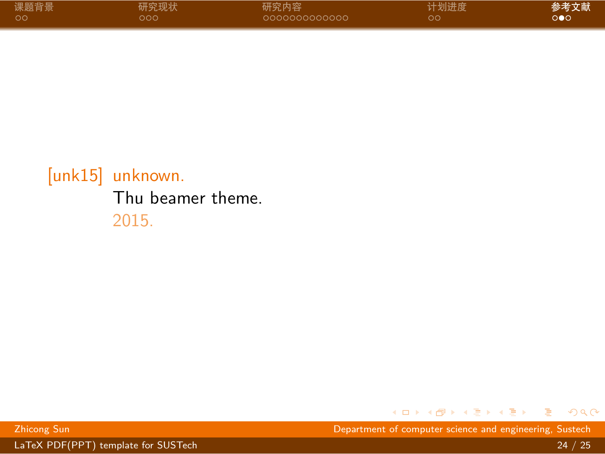<span id="page-27-1"></span>

| 课题背景 | 研究现状 | 研究内容           | 计划进度 | 参考文献 |
|------|------|----------------|------|------|
| ം ററ | .റററ | -0000000000000 | ററ   | റ∙റ  |

### <span id="page-27-0"></span>[unk15] unknown. Thu beamer theme. 2015.

. [.](#page-26-0) . [.](#page-28-0) . [.](#page-26-0) . [.](#page-27-1) . [.](#page-27-1) . [.](#page-28-0) . [.](#page-25-0) . [.](#page-26-0) . [.](#page-28-0) . [.](#page-28-0) . . . [.](#page-25-0) . [.](#page-26-0) . [.](#page-28-0) . [.](#page-28-0)  $2Q$ 

Zhicong Sun Department of computer science and engineering, Sustech

[LaTeX PDF\(PPT\) template for SUSTech](#page-0-0) 24 / 25